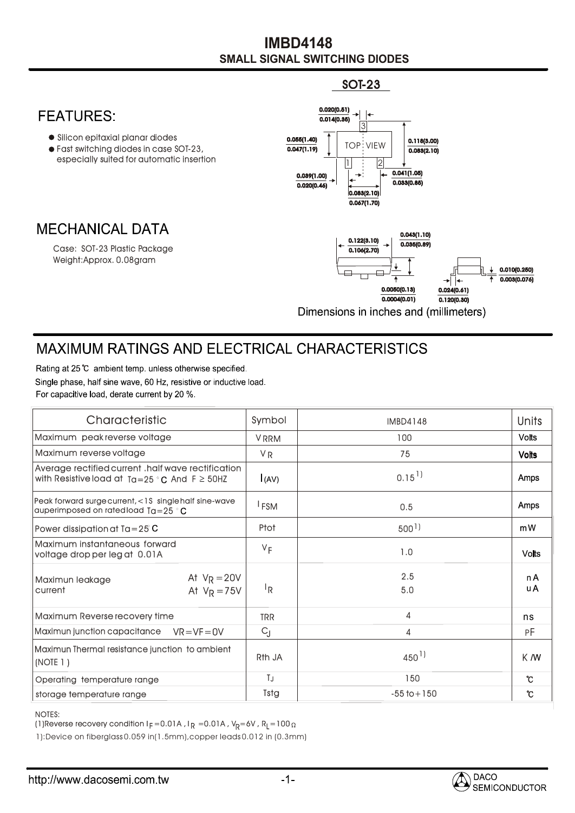## **SMALL SIGNAL SWITCHING DIODES IMBD4148**

SOT-23



## **MAXIMUM RATINGS AND ELECTRICAL CHARACTERISTICS**

Rating at 25 °C ambient temp, unless otherwise specified. Single phase, half sine wave, 60 Hz, resistive or inductive load. For capacitive load, derate current by 20 %.

| Characteristic                                                                                             | Symbol             | <b>IMBD4148</b>      | <b>Units</b> |
|------------------------------------------------------------------------------------------------------------|--------------------|----------------------|--------------|
| Maximum peak reverse voltage                                                                               | <b>VRRM</b>        | 100                  | <b>Volts</b> |
| Maximum reverse voltage                                                                                    | <b>VR</b>          | 75                   | <b>Volts</b> |
| Average rectified current .half wave rectification<br>with Resistive load at $Ta=25 °C$ And $F \geq 50$ HZ | (AV)               | $0.15$ <sup>1)</sup> | Amps         |
| Peak forward surge current, <1S single half sine-wave<br>auperimposed on rated load $Ta = 25$ $^{\circ}$ C | <sup>I</sup> FSM   | 0.5                  | Amps         |
| Power dissipation at $Ta = 25^\circ$ C                                                                     | Ptot               | $500$ <sup>1</sup> ) | mW           |
| Maximum instantaneous forward<br>voltage drop per leg at 0.01A                                             | $V_F$              | 1.0                  | <b>Volts</b> |
| At $V_R = 20V$<br>Maximun leakage<br>At $V_R = 75V$<br>current                                             | <sup>I</sup> R     | 2.5<br>5.0           | n A<br>u A   |
| Maximum Reverse recovery time                                                                              | <b>TRR</b>         | 4                    | ns           |
| Maximun junction capacitance<br>$VR = VF = OV$                                                             | $C_{J}$            | 4                    | РF           |
| Maximun Thermal resistance junction to ambient<br>(NOTE 1)                                                 | R <sub>th</sub> JA | $450^{1}$            | K M          |
| Operating temperature range                                                                                | TJ                 | 150                  | °C           |
| storage temperature range                                                                                  | Tstg               | $-55$ to $+150$      | ℃            |

## NOTES:

(1)Reverse recovery condition I $_{\mathsf{F}}$  =0.01A , I $_{\mathsf{R}}$  =0.01A , V $_{\mathsf{R}}$ =6V , R $_{\mathsf{L}}$ =100

1):Device on fiberglass 0.059 in(1.5mm),copper leads 0.012 in (0.3mm)

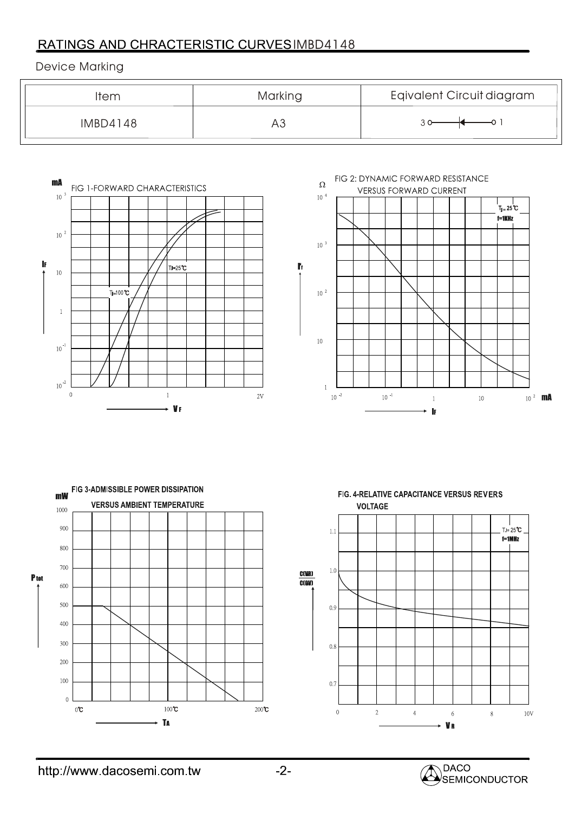## RATINGS AND CHRACTERISTIC CURVESIMBD4148

Device Marking

| Item     | Marking | Eqivalent Circuit diagram |
|----------|---------|---------------------------|
| IMBD4148 | AJ      |                           |



 $\Omega$ **VERSUS FORWARD CURRENT**  $10\ ^4$ 

FIG 2: DYNAMIC FORWARD RESISTANCE





FIG. 4-RELATIVE CAPACITANCE VERSUS REVERS **VOLTAGE**  $TJ = 25^{\circ}C$  $1.1\,$  $f=1$ MHz  $1.0$  $0.9$  $0.8$  $0.7$  $\,0\,$  $\bar{2}$  $\overline{4}$  $\bar{6}$  $\,$  8  $\,$  $10V$ **VR**